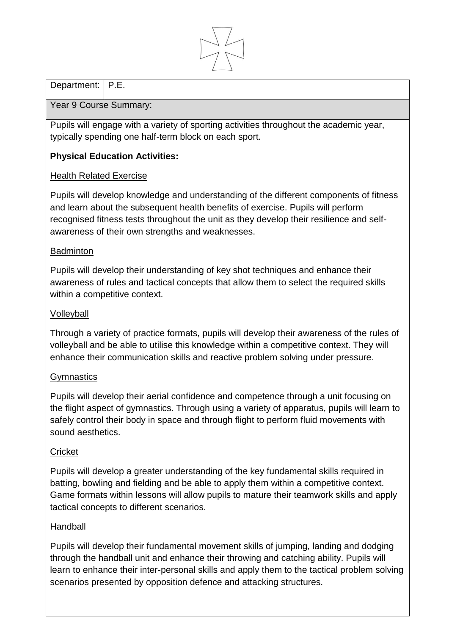

# Department: | P.E.

### Year 9 Course Summary:

Pupils will engage with a variety of sporting activities throughout the academic year, typically spending one half-term block on each sport.

## **Physical Education Activities:**

## Health Related Exercise

Pupils will develop knowledge and understanding of the different components of fitness and learn about the subsequent health benefits of exercise. Pupils will perform recognised fitness tests throughout the unit as they develop their resilience and selfawareness of their own strengths and weaknesses.

#### Badminton

Pupils will develop their understanding of key shot techniques and enhance their awareness of rules and tactical concepts that allow them to select the required skills within a competitive context.

### Volleyball

Through a variety of practice formats, pupils will develop their awareness of the rules of volleyball and be able to utilise this knowledge within a competitive context. They will enhance their communication skills and reactive problem solving under pressure.

## **Gymnastics**

Pupils will develop their aerial confidence and competence through a unit focusing on the flight aspect of gymnastics. Through using a variety of apparatus, pupils will learn to safely control their body in space and through flight to perform fluid movements with sound aesthetics.

#### **Cricket**

Pupils will develop a greater understanding of the key fundamental skills required in batting, bowling and fielding and be able to apply them within a competitive context. Game formats within lessons will allow pupils to mature their teamwork skills and apply tactical concepts to different scenarios.

#### Handball

Pupils will develop their fundamental movement skills of jumping, landing and dodging through the handball unit and enhance their throwing and catching ability. Pupils will learn to enhance their inter-personal skills and apply them to the tactical problem solving scenarios presented by opposition defence and attacking structures.